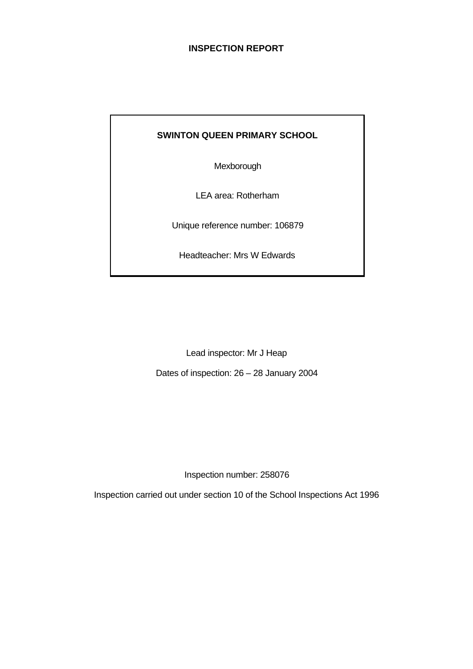# **INSPECTION REPORT**

# **SWINTON QUEEN PRIMARY SCHOOL**

Mexborough

LEA area: Rotherham

Unique reference number: 106879

Headteacher: Mrs W Edwards

Lead inspector: Mr J Heap

Dates of inspection: 26 – 28 January 2004

Inspection number: 258076

Inspection carried out under section 10 of the School Inspections Act 1996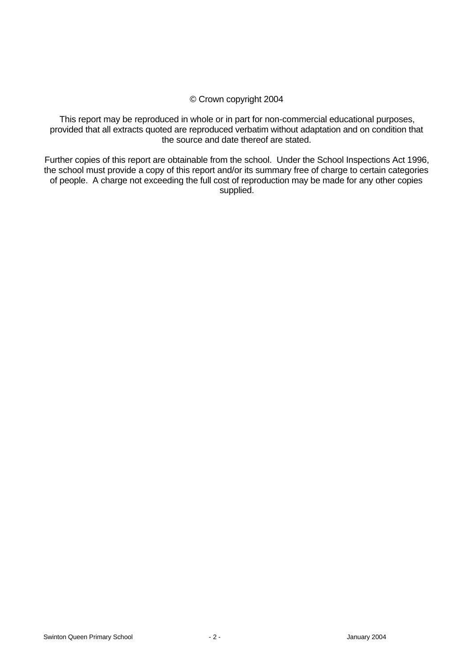# © Crown copyright 2004

This report may be reproduced in whole or in part for non-commercial educational purposes, provided that all extracts quoted are reproduced verbatim without adaptation and on condition that the source and date thereof are stated.

Further copies of this report are obtainable from the school. Under the School Inspections Act 1996, the school must provide a copy of this report and/or its summary free of charge to certain categories of people. A charge not exceeding the full cost of reproduction may be made for any other copies supplied.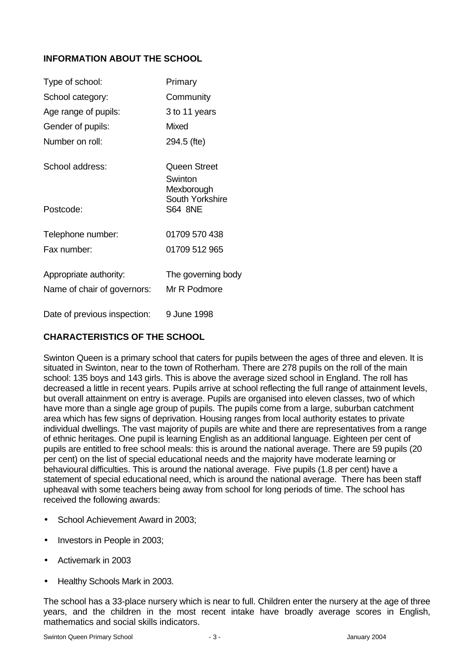# **INFORMATION ABOUT THE SCHOOL**

| Type of school:              | Primary                                                  |
|------------------------------|----------------------------------------------------------|
| School category:             | Community                                                |
| Age range of pupils:         | 3 to 11 years                                            |
| Gender of pupils:            | Mixed                                                    |
| Number on roll:              | 294.5 (fte)                                              |
| School address:              | Queen Street<br>Swinton<br>Mexborough<br>South Yorkshire |
| Postcode:                    | <b>S64 8NE</b>                                           |
| Telephone number:            | 01709 570 438                                            |
| Fax number:                  | 01709 512 965                                            |
| Appropriate authority:       | The governing body                                       |
| Name of chair of governors:  | Mr R Podmore                                             |
| Date of previous inspection: | 9 June 1998                                              |

# **CHARACTERISTICS OF THE SCHOOL**

Swinton Queen is a primary school that caters for pupils between the ages of three and eleven. It is situated in Swinton, near to the town of Rotherham. There are 278 pupils on the roll of the main school: 135 boys and 143 girls. This is above the average sized school in England. The roll has decreased a little in recent years. Pupils arrive at school reflecting the full range of attainment levels, but overall attainment on entry is average. Pupils are organised into eleven classes, two of which have more than a single age group of pupils. The pupils come from a large, suburban catchment area which has few signs of deprivation. Housing ranges from local authority estates to private individual dwellings. The vast majority of pupils are white and there are representatives from a range of ethnic heritages. One pupil is learning English as an additional language. Eighteen per cent of pupils are entitled to free school meals: this is around the national average. There are 59 pupils (20 per cent) on the list of special educational needs and the majority have moderate learning or behavioural difficulties. This is around the national average. Five pupils (1.8 per cent) have a statement of special educational need, which is around the national average. There has been staff upheaval with some teachers being away from school for long periods of time. The school has received the following awards:

- School Achievement Award in 2003;
- Investors in People in 2003;
- Activemark in 2003
- Healthy Schools Mark in 2003.

The school has a 33-place nursery which is near to full. Children enter the nursery at the age of three years, and the children in the most recent intake have broadly average scores in English, mathematics and social skills indicators.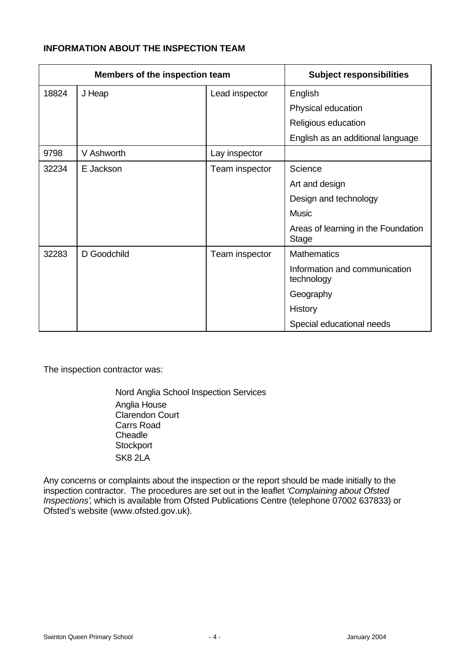# **INFORMATION ABOUT THE INSPECTION TEAM**

| Members of the inspection team |             |                | <b>Subject responsibilities</b>                     |
|--------------------------------|-------------|----------------|-----------------------------------------------------|
| 18824                          | J Heap      | Lead inspector | English                                             |
|                                |             |                | Physical education                                  |
|                                |             |                | Religious education                                 |
|                                |             |                | English as an additional language                   |
| 9798                           | V Ashworth  | Lay inspector  |                                                     |
| 32234                          | E Jackson   | Team inspector | Science                                             |
|                                |             |                | Art and design                                      |
|                                |             |                | Design and technology                               |
|                                |             |                | Music                                               |
|                                |             |                | Areas of learning in the Foundation<br><b>Stage</b> |
| 32283                          | D Goodchild | Team inspector | <b>Mathematics</b>                                  |
|                                |             |                | Information and communication<br>technology         |
|                                |             |                | Geography                                           |
|                                |             |                | History                                             |
|                                |             |                | Special educational needs                           |

The inspection contractor was:

Nord Anglia School Inspection Services Anglia House Clarendon Court Carrs Road **Cheadle Stockport** SK8 2LA

Any concerns or complaints about the inspection or the report should be made initially to the inspection contractor. The procedures are set out in the leaflet *'Complaining about Ofsted Inspections'*, which is available from Ofsted Publications Centre (telephone 07002 637833) or Ofsted's website (www.ofsted.gov.uk).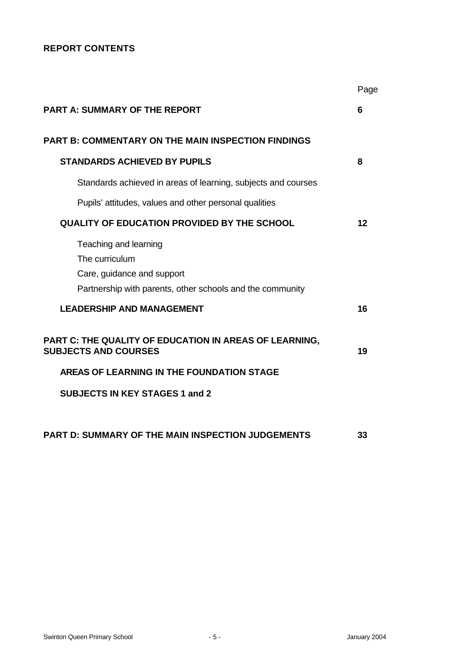# **REPORT CONTENTS**

|                                                                                                                                    | Page |
|------------------------------------------------------------------------------------------------------------------------------------|------|
| <b>PART A: SUMMARY OF THE REPORT</b>                                                                                               | 6    |
| <b>PART B: COMMENTARY ON THE MAIN INSPECTION FINDINGS</b>                                                                          |      |
| <b>STANDARDS ACHIEVED BY PUPILS</b>                                                                                                | 8    |
| Standards achieved in areas of learning, subjects and courses                                                                      |      |
| Pupils' attitudes, values and other personal qualities                                                                             |      |
| <b>QUALITY OF EDUCATION PROVIDED BY THE SCHOOL</b>                                                                                 | 12   |
| Teaching and learning<br>The curriculum<br>Care, guidance and support<br>Partnership with parents, other schools and the community |      |
| <b>LEADERSHIP AND MANAGEMENT</b>                                                                                                   | 16   |
| PART C: THE QUALITY OF EDUCATION IN AREAS OF LEARNING,<br><b>SUBJECTS AND COURSES</b>                                              | 19   |
| AREAS OF LEARNING IN THE FOUNDATION STAGE                                                                                          |      |
| <b>SUBJECTS IN KEY STAGES 1 and 2</b>                                                                                              |      |
| <b>PART D: SUMMARY OF THE MAIN INSPECTION JUDGEMENTS</b>                                                                           | 33   |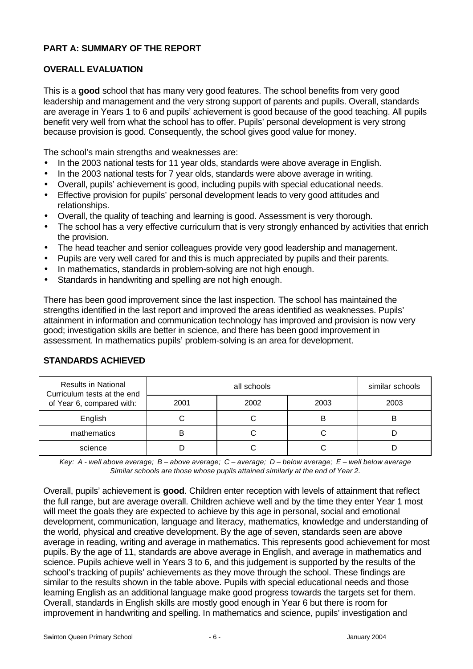# **PART A: SUMMARY OF THE REPORT**

# **OVERALL EVALUATION**

This is a **good** school that has many very good features. The school benefits from very good leadership and management and the very strong support of parents and pupils. Overall, standards are average in Years 1 to 6 and pupils' achievement is good because of the good teaching. All pupils benefit very well from what the school has to offer. Pupils' personal development is very strong because provision is good. Consequently, the school gives good value for money.

The school's main strengths and weaknesses are:

- In the 2003 national tests for 11 year olds, standards were above average in English.
- In the 2003 national tests for 7 year olds, standards were above average in writing.
- Overall, pupils' achievement is good, including pupils with special educational needs.
- Effective provision for pupils' personal development leads to very good attitudes and relationships.
- Overall, the quality of teaching and learning is good. Assessment is very thorough.
- The school has a very effective curriculum that is very strongly enhanced by activities that enrich the provision.
- The head teacher and senior colleagues provide very good leadership and management.
- Pupils are very well cared for and this is much appreciated by pupils and their parents.
- In mathematics, standards in problem-solving are not high enough.
- Standards in handwriting and spelling are not high enough.

There has been good improvement since the last inspection. The school has maintained the strengths identified in the last report and improved the areas identified as weaknesses. Pupils' attainment in information and communication technology has improved and provision is now very good; investigation skills are better in science, and there has been good improvement in assessment. In mathematics pupils' problem-solving is an area for development.

| <b>Results in National</b><br>Curriculum tests at the end |      | similar schools |      |      |
|-----------------------------------------------------------|------|-----------------|------|------|
| of Year 6, compared with:                                 | 2001 | 2002            | 2003 | 2003 |
| English                                                   |      |                 |      |      |
| mathematics                                               | B    |                 |      |      |
| science                                                   |      |                 |      |      |

# **STANDARDS ACHIEVED**

*Key: A - well above average; B – above average; C – average; D – below average; E – well below average Similar schools are those whose pupils attained similarly at the end of Year 2.*

Overall, pupils' achievement is **good**. Children enter reception with levels of attainment that reflect the full range, but are average overall. Children achieve well and by the time they enter Year 1 most will meet the goals they are expected to achieve by this age in personal, social and emotional development, communication, language and literacy, mathematics, knowledge and understanding of the world, physical and creative development. By the age of seven, standards seen are above average in reading, writing and average in mathematics. This represents good achievement for most pupils. By the age of 11, standards are above average in English, and average in mathematics and science. Pupils achieve well in Years 3 to 6, and this judgement is supported by the results of the school's tracking of pupils' achievements as they move through the school. These findings are similar to the results shown in the table above. Pupils with special educational needs and those learning English as an additional language make good progress towards the targets set for them. Overall, standards in English skills are mostly good enough in Year 6 but there is room for improvement in handwriting and spelling. In mathematics and science, pupils' investigation and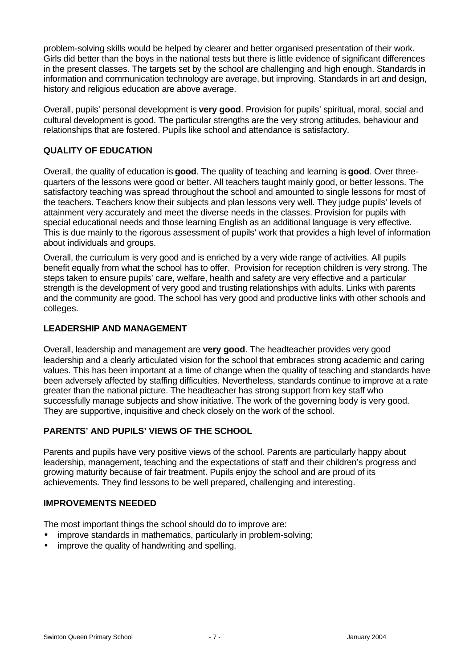problem-solving skills would be helped by clearer and better organised presentation of their work. Girls did better than the boys in the national tests but there is little evidence of significant differences in the present classes. The targets set by the school are challenging and high enough. Standards in information and communication technology are average, but improving. Standards in art and design, history and religious education are above average.

Overall, pupils' personal development is **very good**. Provision for pupils' spiritual, moral, social and cultural development is good. The particular strengths are the very strong attitudes, behaviour and relationships that are fostered. Pupils like school and attendance is satisfactory.

# **QUALITY OF EDUCATION**

Overall, the quality of education is **good**. The quality of teaching and learning is **good**. Over threequarters of the lessons were good or better. All teachers taught mainly good, or better lessons. The satisfactory teaching was spread throughout the school and amounted to single lessons for most of the teachers. Teachers know their subjects and plan lessons very well. They judge pupils' levels of attainment very accurately and meet the diverse needs in the classes. Provision for pupils with special educational needs and those learning English as an additional language is very effective. This is due mainly to the rigorous assessment of pupils' work that provides a high level of information about individuals and groups.

Overall, the curriculum is very good and is enriched by a very wide range of activities. All pupils benefit equally from what the school has to offer. Provision for reception children is very strong. The steps taken to ensure pupils' care, welfare, health and safety are very effective and a particular strength is the development of very good and trusting relationships with adults. Links with parents and the community are good. The school has very good and productive links with other schools and colleges.

# **LEADERSHIP AND MANAGEMENT**

Overall, leadership and management are **very good**. The headteacher provides very good leadership and a clearly articulated vision for the school that embraces strong academic and caring values. This has been important at a time of change when the quality of teaching and standards have been adversely affected by staffing difficulties. Nevertheless, standards continue to improve at a rate greater than the national picture. The headteacher has strong support from key staff who successfully manage subjects and show initiative. The work of the governing body is very good. They are supportive, inquisitive and check closely on the work of the school.

# **PARENTS' AND PUPILS' VIEWS OF THE SCHOOL**

Parents and pupils have very positive views of the school. Parents are particularly happy about leadership, management, teaching and the expectations of staff and their children's progress and growing maturity because of fair treatment. Pupils enjoy the school and are proud of its achievements. They find lessons to be well prepared, challenging and interesting.

# **IMPROVEMENTS NEEDED**

The most important things the school should do to improve are:

- improve standards in mathematics, particularly in problem-solving;
- improve the quality of handwriting and spelling.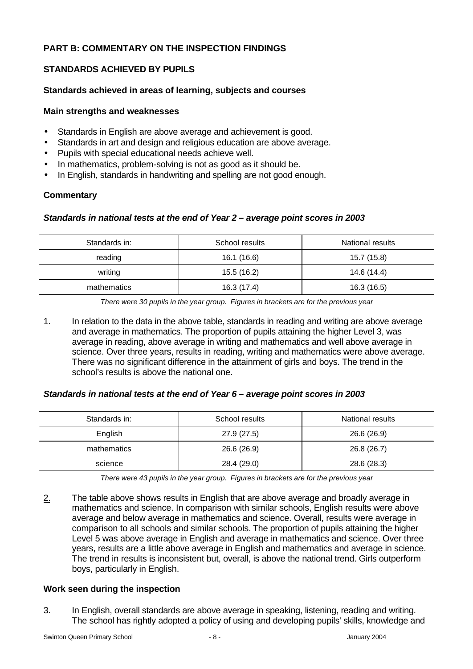# **PART B: COMMENTARY ON THE INSPECTION FINDINGS**

# **STANDARDS ACHIEVED BY PUPILS**

# **Standards achieved in areas of learning, subjects and courses**

#### **Main strengths and weaknesses**

- Standards in English are above average and achievement is good.
- Standards in art and design and religious education are above average.
- Pupils with special educational needs achieve well.
- In mathematics, problem-solving is not as good as it should be.
- In English, standards in handwriting and spelling are not good enough.

#### **Commentary**

# *Standards in national tests at the end of Year 2 – average point scores in 2003*

| Standards in: | School results | National results |
|---------------|----------------|------------------|
| reading       | 16.1 (16.6)    | 15.7 (15.8)      |
| writing       | 15.5 (16.2)    | 14.6 (14.4)      |
| mathematics   | 16.3 (17.4)    | 16.3 (16.5)      |

*There were 30 pupils in the year group. Figures in brackets are for the previous year*

1. In relation to the data in the above table, standards in reading and writing are above average and average in mathematics. The proportion of pupils attaining the higher Level 3, was average in reading, above average in writing and mathematics and well above average in science. Over three years, results in reading, writing and mathematics were above average. There was no significant difference in the attainment of girls and boys. The trend in the school's results is above the national one.

# *Standards in national tests at the end of Year 6 – average point scores in 2003*

| Standards in: | School results | National results |
|---------------|----------------|------------------|
| English       | 27.9 (27.5)    | 26.6 (26.9)      |
| mathematics   | 26.6 (26.9)    | 26.8 (26.7)      |
| science       | 28.4 (29.0)    | 28.6 (28.3)      |

*There were 43 pupils in the year group. Figures in brackets are for the previous year*

 $2.$  The table above shows results in English that are above average and broadly average in mathematics and science. In comparison with similar schools, English results were above average and below average in mathematics and science. Overall, results were average in comparison to all schools and similar schools. The proportion of pupils attaining the higher Level 5 was above average in English and average in mathematics and science. Over three years, results are a little above average in English and mathematics and average in science. The trend in results is inconsistent but, overall, is above the national trend. Girls outperform boys, particularly in English.

# **Work seen during the inspection**

3. In English, overall standards are above average in speaking, listening, reading and writing. The school has rightly adopted a policy of using and developing pupils' skills, knowledge and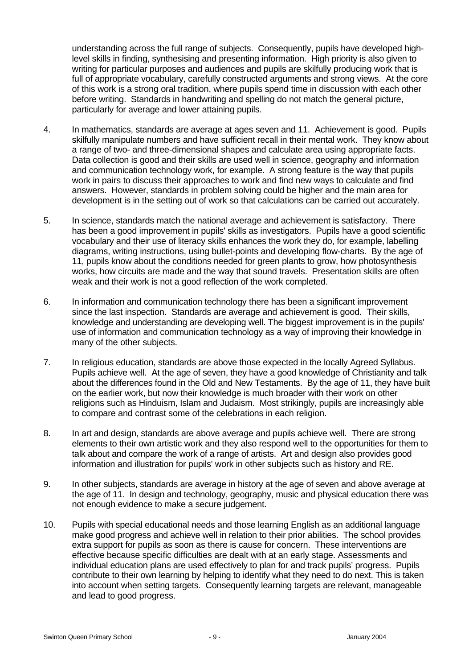understanding across the full range of subjects. Consequently, pupils have developed highlevel skills in finding, synthesising and presenting information. High priority is also given to writing for particular purposes and audiences and pupils are skilfully producing work that is full of appropriate vocabulary, carefully constructed arguments and strong views. At the core of this work is a strong oral tradition, where pupils spend time in discussion with each other before writing. Standards in handwriting and spelling do not match the general picture, particularly for average and lower attaining pupils.

- 4. In mathematics, standards are average at ages seven and 11. Achievement is good. Pupils skilfully manipulate numbers and have sufficient recall in their mental work. They know about a range of two- and three-dimensional shapes and calculate area using appropriate facts. Data collection is good and their skills are used well in science, geography and information and communication technology work, for example. A strong feature is the way that pupils work in pairs to discuss their approaches to work and find new ways to calculate and find answers. However, standards in problem solving could be higher and the main area for development is in the setting out of work so that calculations can be carried out accurately.
- 5. In science, standards match the national average and achievement is satisfactory. There has been a good improvement in pupils' skills as investigators. Pupils have a good scientific vocabulary and their use of literacy skills enhances the work they do, for example, labelling diagrams, writing instructions, using bullet-points and developing flow-charts. By the age of 11, pupils know about the conditions needed for green plants to grow, how photosynthesis works, how circuits are made and the way that sound travels. Presentation skills are often weak and their work is not a good reflection of the work completed.
- 6. In information and communication technology there has been a significant improvement since the last inspection. Standards are average and achievement is good. Their skills, knowledge and understanding are developing well. The biggest improvement is in the pupils' use of information and communication technology as a way of improving their knowledge in many of the other subjects.
- 7. In religious education, standards are above those expected in the locally Agreed Syllabus. Pupils achieve well. At the age of seven, they have a good knowledge of Christianity and talk about the differences found in the Old and New Testaments. By the age of 11, they have built on the earlier work, but now their knowledge is much broader with their work on other religions such as Hinduism, Islam and Judaism. Most strikingly, pupils are increasingly able to compare and contrast some of the celebrations in each religion.
- 8. In art and design, standards are above average and pupils achieve well. There are strong elements to their own artistic work and they also respond well to the opportunities for them to talk about and compare the work of a range of artists. Art and design also provides good information and illustration for pupils' work in other subjects such as history and RE.
- 9. In other subjects, standards are average in history at the age of seven and above average at the age of 11. In design and technology, geography, music and physical education there was not enough evidence to make a secure judgement.
- 10. Pupils with special educational needs and those learning English as an additional language make good progress and achieve well in relation to their prior abilities. The school provides extra support for pupils as soon as there is cause for concern. These interventions are effective because specific difficulties are dealt with at an early stage. Assessments and individual education plans are used effectively to plan for and track pupils' progress. Pupils contribute to their own learning by helping to identify what they need to do next. This is taken into account when setting targets. Consequently learning targets are relevant, manageable and lead to good progress.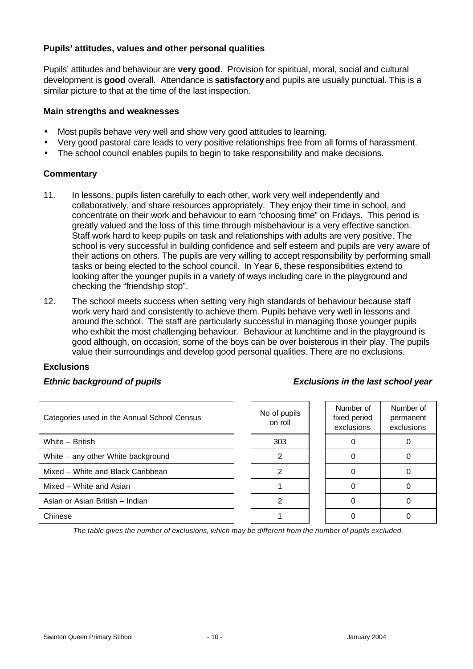# **Pupils' attitudes, values and other personal qualities**

Pupils' attitudes and behaviour are **very good**. Provision for spiritual, moral, social and cultural development is **good** overall. Attendance is **satisfactory** and pupils are usually punctual. This is a similar picture to that at the time of the last inspection.

#### **Main strengths and weaknesses**

- Most pupils behave very well and show very good attitudes to learning.
- Very good pastoral care leads to very positive relationships free from all forms of harassment.
- The school council enables pupils to begin to take responsibility and make decisions.

#### **Commentary**

- 11. In lessons, pupils listen carefully to each other, work very well independently and collaboratively, and share resources appropriately. They enjoy their time in school, and concentrate on their work and behaviour to earn "choosing time" on Fridays. This period is greatly valued and the loss of this time through misbehaviour is a very effective sanction. Staff work hard to keep pupils on task and relationships with adults are very positive. The school is very successful in building confidence and self esteem and pupils are very aware of their actions on others. The pupils are very willing to accept responsibility by performing small tasks or being elected to the school council. In Year 6, these responsibilities extend to looking after the younger pupils in a variety of ways including care in the playground and checking the "friendship stop".
- 12. The school meets success when setting very high standards of behaviour because staff work very hard and consistently to achieve them. Pupils behave very well in lessons and around the school. The staff are particularly successful in managing those younger pupils who exhibit the most challenging behaviour. Behaviour at lunchtime and in the playground is good although, on occasion, some of the boys can be over boisterous in their play. The pupils value their surroundings and develop good personal qualities. There are no exclusions.

# **Exclusions**

# *Ethnic background of pupils Exclusions in the last school year*

| Categories used in the Annual School Census | No of pupils<br>on roll | Number of<br>fixed period<br>exclusions | Numb<br>perma<br>exclus |
|---------------------------------------------|-------------------------|-----------------------------------------|-------------------------|
| White - British                             | 303                     |                                         | 0                       |
| White – any other White background          | 2                       |                                         | 0                       |
| Mixed – White and Black Caribbean           | 2                       |                                         |                         |
| Mixed - White and Asian                     |                         |                                         | 0                       |
| Asian or Asian British - Indian             | 2                       |                                         | 0                       |
| Chinese                                     |                         |                                         | 0                       |

| No of pupils<br>on roll |  |
|-------------------------|--|
| 303                     |  |
| 2                       |  |
| 2                       |  |
|                         |  |
| 2                       |  |
|                         |  |

| Number of<br>fixed period<br>exclusions | Number of<br>permanent<br>exclusions |
|-----------------------------------------|--------------------------------------|
|                                         | ი                                    |
|                                         | ი                                    |
|                                         | ი                                    |
|                                         | O                                    |
|                                         | ∩                                    |
|                                         |                                      |

*The table gives the number of exclusions, which may be different from the number of pupils excluded.*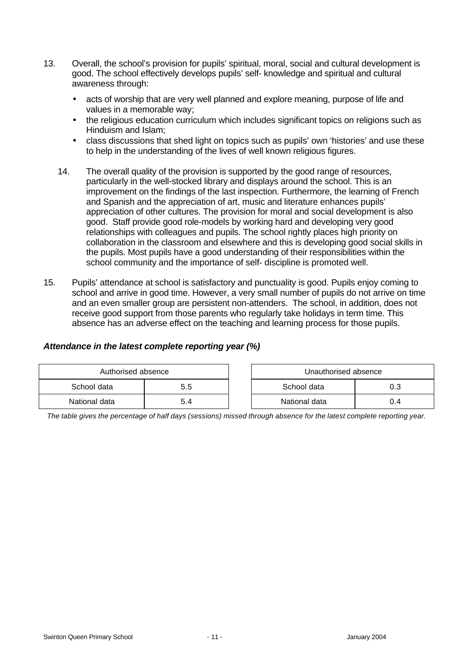- 13. Overall, the school's provision for pupils' spiritual, moral, social and cultural development is good. The school effectively develops pupils' self- knowledge and spiritual and cultural awareness through:
	- acts of worship that are very well planned and explore meaning, purpose of life and values in a memorable way;
	- the religious education curriculum which includes significant topics on religions such as Hinduism and Islam;
	- class discussions that shed light on topics such as pupils' own 'histories' and use these to help in the understanding of the lives of well known religious figures.
	- 14. The overall quality of the provision is supported by the good range of resources, particularly in the well-stocked library and displays around the school. This is an improvement on the findings of the last inspection. Furthermore, the learning of French and Spanish and the appreciation of art, music and literature enhances pupils' appreciation of other cultures. The provision for moral and social development is also good. Staff provide good role-models by working hard and developing very good relationships with colleagues and pupils. The school rightly places high priority on collaboration in the classroom and elsewhere and this is developing good social skills in the pupils. Most pupils have a good understanding of their responsibilities within the school community and the importance of self- discipline is promoted well.
- 15. Pupils' attendance at school is satisfactory and punctuality is good. Pupils enjoy coming to school and arrive in good time. However, a very small number of pupils do not arrive on time and an even smaller group are persistent non-attenders. The school, in addition, does not receive good support from those parents who regularly take holidays in term time. This absence has an adverse effect on the teaching and learning process for those pupils.

# *Attendance in the latest complete reporting year (%)*

| Authorised absence |     |  | Unauthorised absence |     |
|--------------------|-----|--|----------------------|-----|
| School data        | 5.5 |  | School data          |     |
| National data      | 5.4 |  | National data        | 0.4 |

*The table gives the percentage of half days (sessions) missed through absence for the latest complete reporting year.*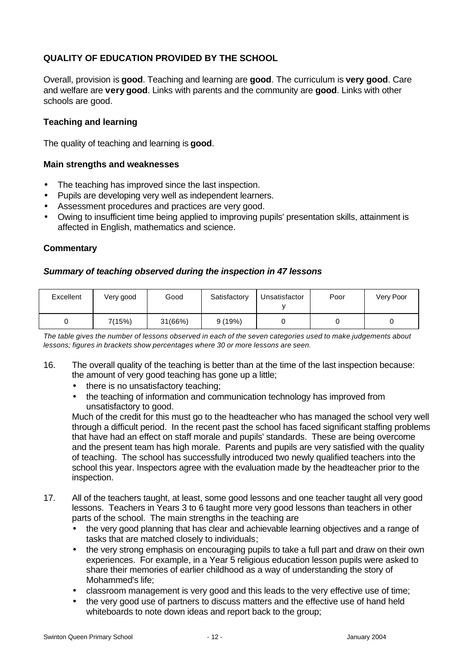# **QUALITY OF EDUCATION PROVIDED BY THE SCHOOL**

Overall, provision is **good**. Teaching and learning are **good**. The curriculum is **very good**. Care and welfare are **very good**. Links with parents and the community are **good**. Links with other schools are good.

# **Teaching and learning**

The quality of teaching and learning is **good**.

#### **Main strengths and weaknesses**

- The teaching has improved since the last inspection.
- Pupils are developing very well as independent learners.
- Assessment procedures and practices are very good.
- Owing to insufficient time being applied to improving pupils' presentation skills, attainment is affected in English, mathematics and science.

# **Commentary**

#### *Summary of teaching observed during the inspection in 47 lessons*

| Excellent | Very good | Good    | Satisfactory | Unsatisfactor | Poor | Very Poor |
|-----------|-----------|---------|--------------|---------------|------|-----------|
|           | 7(15%)    | 31(66%) | 9(19%)       |               |      |           |

*The table gives the number of lessons observed in each of the seven categories used to make judgements about lessons; figures in brackets show percentages where 30 or more lessons are seen.*

- 16. The overall quality of the teaching is better than at the time of the last inspection because: the amount of very good teaching has gone up a little;
	- there is no unsatisfactory teaching;
	- the teaching of information and communication technology has improved from unsatisfactory to good.

Much of the credit for this must go to the headteacher who has managed the school very well through a difficult period. In the recent past the school has faced significant staffing problems that have had an effect on staff morale and pupils' standards. These are being overcome and the present team has high morale. Parents and pupils are very satisfied with the quality of teaching. The school has successfully introduced two newly qualified teachers into the school this year. Inspectors agree with the evaluation made by the headteacher prior to the inspection.

- 17. All of the teachers taught, at least, some good lessons and one teacher taught all very good lessons. Teachers in Years 3 to 6 taught more very good lessons than teachers in other parts of the school. The main strengths in the teaching are
	- the very good planning that has clear and achievable learning objectives and a range of tasks that are matched closely to individuals;
	- the very strong emphasis on encouraging pupils to take a full part and draw on their own experiences. For example, in a Year 5 religious education lesson pupils were asked to share their memories of earlier childhood as a way of understanding the story of Mohammed's life;
	- classroom management is very good and this leads to the very effective use of time;
	- the very good use of partners to discuss matters and the effective use of hand held whiteboards to note down ideas and report back to the group;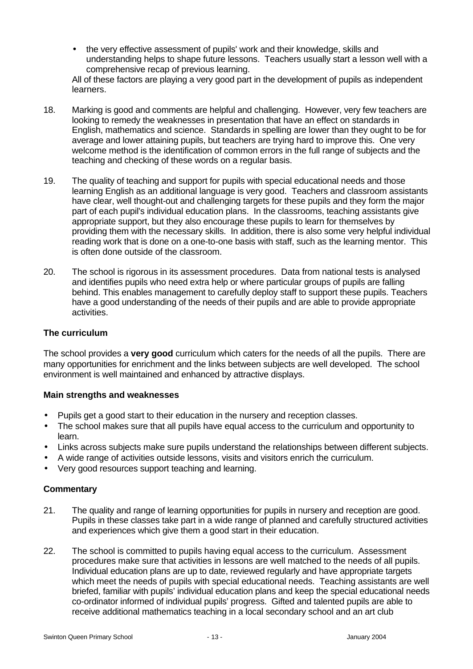• the very effective assessment of pupils' work and their knowledge, skills and understanding helps to shape future lessons. Teachers usually start a lesson well with a comprehensive recap of previous learning.

All of these factors are playing a very good part in the development of pupils as independent learners.

- 18. Marking is good and comments are helpful and challenging. However, very few teachers are looking to remedy the weaknesses in presentation that have an effect on standards in English, mathematics and science. Standards in spelling are lower than they ought to be for average and lower attaining pupils, but teachers are trying hard to improve this. One very welcome method is the identification of common errors in the full range of subjects and the teaching and checking of these words on a regular basis.
- 19. The quality of teaching and support for pupils with special educational needs and those learning English as an additional language is very good. Teachers and classroom assistants have clear, well thought-out and challenging targets for these pupils and they form the major part of each pupil's individual education plans. In the classrooms, teaching assistants give appropriate support, but they also encourage these pupils to learn for themselves by providing them with the necessary skills. In addition, there is also some very helpful individual reading work that is done on a one-to-one basis with staff, such as the learning mentor. This is often done outside of the classroom.
- 20. The school is rigorous in its assessment procedures. Data from national tests is analysed and identifies pupils who need extra help or where particular groups of pupils are falling behind. This enables management to carefully deploy staff to support these pupils. Teachers have a good understanding of the needs of their pupils and are able to provide appropriate activities.

# **The curriculum**

The school provides a **very good** curriculum which caters for the needs of all the pupils. There are many opportunities for enrichment and the links between subjects are well developed. The school environment is well maintained and enhanced by attractive displays.

# **Main strengths and weaknesses**

- Pupils get a good start to their education in the nursery and reception classes.
- The school makes sure that all pupils have equal access to the curriculum and opportunity to learn.
- Links across subjects make sure pupils understand the relationships between different subjects.
- A wide range of activities outside lessons, visits and visitors enrich the curriculum.
- Very good resources support teaching and learning.

- 21. The quality and range of learning opportunities for pupils in nursery and reception are good. Pupils in these classes take part in a wide range of planned and carefully structured activities and experiences which give them a good start in their education.
- 22. The school is committed to pupils having equal access to the curriculum. Assessment procedures make sure that activities in lessons are well matched to the needs of all pupils. Individual education plans are up to date, reviewed regularly and have appropriate targets which meet the needs of pupils with special educational needs. Teaching assistants are well briefed, familiar with pupils' individual education plans and keep the special educational needs co-ordinator informed of individual pupils' progress. Gifted and talented pupils are able to receive additional mathematics teaching in a local secondary school and an art club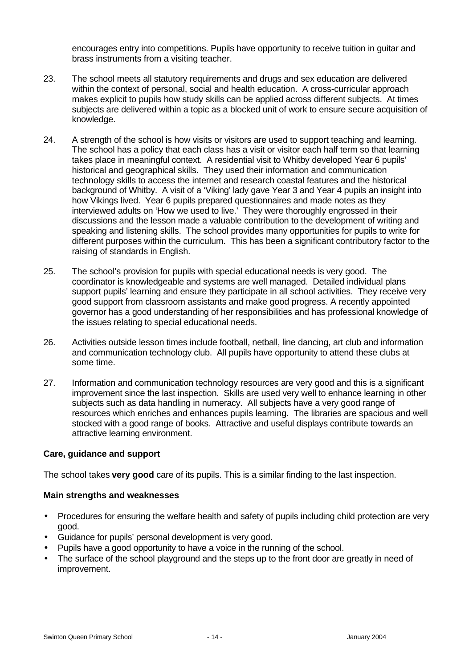encourages entry into competitions. Pupils have opportunity to receive tuition in guitar and brass instruments from a visiting teacher.

- 23. The school meets all statutory requirements and drugs and sex education are delivered within the context of personal, social and health education. A cross-curricular approach makes explicit to pupils how study skills can be applied across different subjects. At times subjects are delivered within a topic as a blocked unit of work to ensure secure acquisition of knowledge.
- 24. A strength of the school is how visits or visitors are used to support teaching and learning. The school has a policy that each class has a visit or visitor each half term so that learning takes place in meaningful context. A residential visit to Whitby developed Year 6 pupils' historical and geographical skills. They used their information and communication technology skills to access the internet and research coastal features and the historical background of Whitby. A visit of a 'Viking' lady gave Year 3 and Year 4 pupils an insight into how Vikings lived. Year 6 pupils prepared questionnaires and made notes as they interviewed adults on 'How we used to live.' They were thoroughly engrossed in their discussions and the lesson made a valuable contribution to the development of writing and speaking and listening skills. The school provides many opportunities for pupils to write for different purposes within the curriculum. This has been a significant contributory factor to the raising of standards in English.
- 25. The school's provision for pupils with special educational needs is very good. The coordinator is knowledgeable and systems are well managed. Detailed individual plans support pupils' learning and ensure they participate in all school activities. They receive very good support from classroom assistants and make good progress. A recently appointed governor has a good understanding of her responsibilities and has professional knowledge of the issues relating to special educational needs.
- 26. Activities outside lesson times include football, netball, line dancing, art club and information and communication technology club. All pupils have opportunity to attend these clubs at some time.
- 27. Information and communication technology resources are very good and this is a significant improvement since the last inspection. Skills are used very well to enhance learning in other subjects such as data handling in numeracy. All subjects have a very good range of resources which enriches and enhances pupils learning. The libraries are spacious and well stocked with a good range of books. Attractive and useful displays contribute towards an attractive learning environment.

# **Care, guidance and support**

The school takes **very good** care of its pupils. This is a similar finding to the last inspection.

#### **Main strengths and weaknesses**

- Procedures for ensuring the welfare health and safety of pupils including child protection are very good.
- Guidance for pupils' personal development is very good.
- Pupils have a good opportunity to have a voice in the running of the school.
- The surface of the school playground and the steps up to the front door are greatly in need of improvement.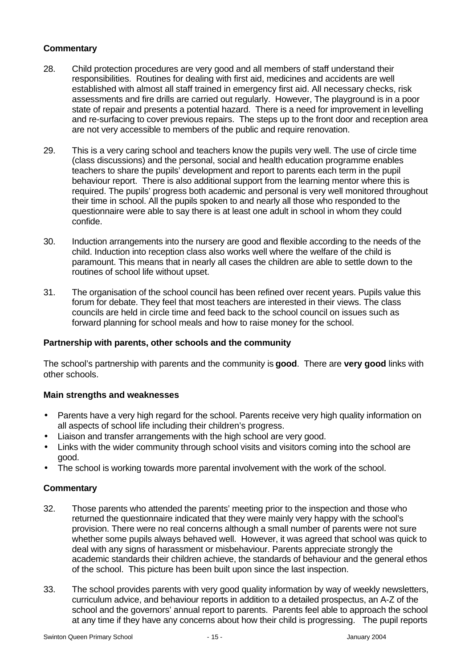# **Commentary**

- 28. Child protection procedures are very good and all members of staff understand their responsibilities. Routines for dealing with first aid, medicines and accidents are well established with almost all staff trained in emergency first aid. All necessary checks, risk assessments and fire drills are carried out regularly. However, The playground is in a poor state of repair and presents a potential hazard. There is a need for improvement in levelling and re-surfacing to cover previous repairs. The steps up to the front door and reception area are not very accessible to members of the public and require renovation.
- 29. This is a very caring school and teachers know the pupils very well. The use of circle time (class discussions) and the personal, social and health education programme enables teachers to share the pupils' development and report to parents each term in the pupil behaviour report. There is also additional support from the learning mentor where this is required. The pupils' progress both academic and personal is very well monitored throughout their time in school. All the pupils spoken to and nearly all those who responded to the questionnaire were able to say there is at least one adult in school in whom they could confide.
- 30. Induction arrangements into the nursery are good and flexible according to the needs of the child. Induction into reception class also works well where the welfare of the child is paramount. This means that in nearly all cases the children are able to settle down to the routines of school life without upset.
- 31. The organisation of the school council has been refined over recent years. Pupils value this forum for debate. They feel that most teachers are interested in their views. The class councils are held in circle time and feed back to the school council on issues such as forward planning for school meals and how to raise money for the school.

# **Partnership with parents, other schools and the community**

The school's partnership with parents and the community is **good**. There are **very good** links with other schools.

# **Main strengths and weaknesses**

- Parents have a very high regard for the school. Parents receive very high quality information on all aspects of school life including their children's progress.
- Liaison and transfer arrangements with the high school are very good.
- Links with the wider community through school visits and visitors coming into the school are good.
- The school is working towards more parental involvement with the work of the school.

- 32. Those parents who attended the parents' meeting prior to the inspection and those who returned the questionnaire indicated that they were mainly very happy with the school's provision. There were no real concerns although a small number of parents were not sure whether some pupils always behaved well. However, it was agreed that school was quick to deal with any signs of harassment or misbehaviour. Parents appreciate strongly the academic standards their children achieve, the standards of behaviour and the general ethos of the school. This picture has been built upon since the last inspection.
- 33. The school provides parents with very good quality information by way of weekly newsletters, curriculum advice, and behaviour reports in addition to a detailed prospectus, an A-Z of the school and the governors' annual report to parents. Parents feel able to approach the school at any time if they have any concerns about how their child is progressing. The pupil reports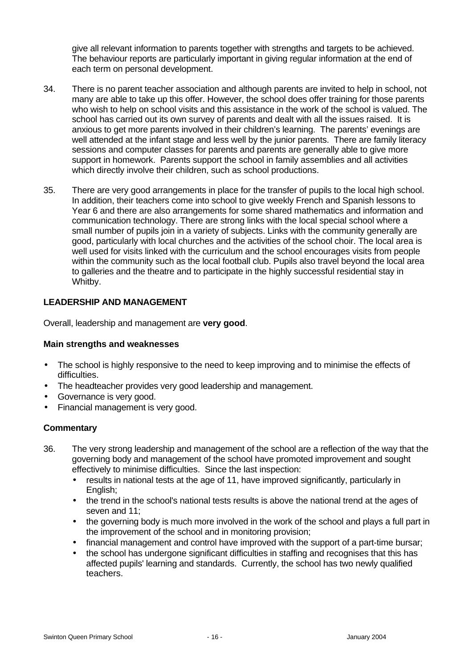give all relevant information to parents together with strengths and targets to be achieved. The behaviour reports are particularly important in giving regular information at the end of each term on personal development.

- 34. There is no parent teacher association and although parents are invited to help in school, not many are able to take up this offer. However, the school does offer training for those parents who wish to help on school visits and this assistance in the work of the school is valued. The school has carried out its own survey of parents and dealt with all the issues raised. It is anxious to get more parents involved in their children's learning. The parents' evenings are well attended at the infant stage and less well by the junior parents. There are family literacy sessions and computer classes for parents and parents are generally able to give more support in homework. Parents support the school in family assemblies and all activities which directly involve their children, such as school productions.
- 35. There are very good arrangements in place for the transfer of pupils to the local high school. In addition, their teachers come into school to give weekly French and Spanish lessons to Year 6 and there are also arrangements for some shared mathematics and information and communication technology. There are strong links with the local special school where a small number of pupils join in a variety of subjects. Links with the community generally are good, particularly with local churches and the activities of the school choir. The local area is well used for visits linked with the curriculum and the school encourages visits from people within the community such as the local football club. Pupils also travel beyond the local area to galleries and the theatre and to participate in the highly successful residential stay in Whitby.

# **LEADERSHIP AND MANAGEMENT**

Overall, leadership and management are **very good**.

# **Main strengths and weaknesses**

- The school is highly responsive to the need to keep improving and to minimise the effects of difficulties.
- The headteacher provides very good leadership and management.
- Governance is very good.
- Financial management is very good.

- 36. The very strong leadership and management of the school are a reflection of the way that the governing body and management of the school have promoted improvement and sought effectively to minimise difficulties. Since the last inspection:
	- results in national tests at the age of 11, have improved significantly, particularly in English;
	- the trend in the school's national tests results is above the national trend at the ages of seven and 11;
	- the governing body is much more involved in the work of the school and plays a full part in the improvement of the school and in monitoring provision;
	- financial management and control have improved with the support of a part-time bursar;
	- the school has undergone significant difficulties in staffing and recognises that this has affected pupils' learning and standards. Currently, the school has two newly qualified teachers.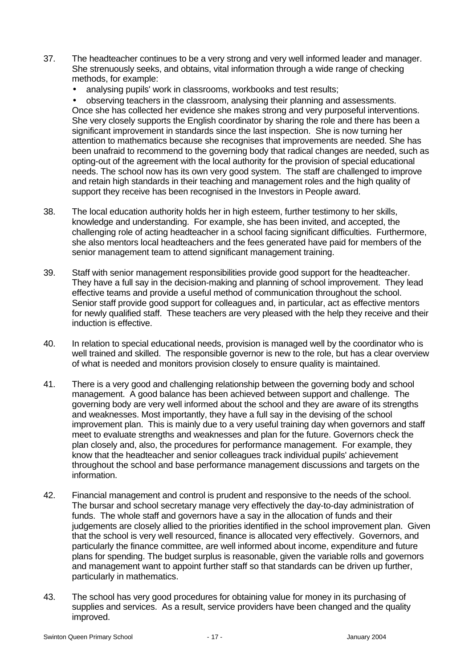- 37. The headteacher continues to be a very strong and very well informed leader and manager. She strenuously seeks, and obtains, vital information through a wide range of checking methods, for example:
	- analysing pupils' work in classrooms, workbooks and test results;

• observing teachers in the classroom, analysing their planning and assessments. Once she has collected her evidence she makes strong and very purposeful interventions. She very closely supports the English coordinator by sharing the role and there has been a significant improvement in standards since the last inspection. She is now turning her attention to mathematics because she recognises that improvements are needed. She has been unafraid to recommend to the governing body that radical changes are needed, such as opting-out of the agreement with the local authority for the provision of special educational needs. The school now has its own very good system. The staff are challenged to improve and retain high standards in their teaching and management roles and the high quality of support they receive has been recognised in the Investors in People award.

- 38. The local education authority holds her in high esteem, further testimony to her skills, knowledge and understanding. For example, she has been invited, and accepted, the challenging role of acting headteacher in a school facing significant difficulties. Furthermore, she also mentors local headteachers and the fees generated have paid for members of the senior management team to attend significant management training.
- 39. Staff with senior management responsibilities provide good support for the headteacher. They have a full say in the decision-making and planning of school improvement. They lead effective teams and provide a useful method of communication throughout the school. Senior staff provide good support for colleagues and, in particular, act as effective mentors for newly qualified staff. These teachers are very pleased with the help they receive and their induction is effective.
- 40. In relation to special educational needs, provision is managed well by the coordinator who is well trained and skilled. The responsible governor is new to the role, but has a clear overview of what is needed and monitors provision closely to ensure quality is maintained.
- 41. There is a very good and challenging relationship between the governing body and school management. A good balance has been achieved between support and challenge. The governing body are very well informed about the school and they are aware of its strengths and weaknesses. Most importantly, they have a full say in the devising of the school improvement plan. This is mainly due to a very useful training day when governors and staff meet to evaluate strengths and weaknesses and plan for the future. Governors check the plan closely and, also, the procedures for performance management. For example, they know that the headteacher and senior colleagues track individual pupils' achievement throughout the school and base performance management discussions and targets on the information.
- 42. Financial management and control is prudent and responsive to the needs of the school. The bursar and school secretary manage very effectively the day-to-day administration of funds. The whole staff and governors have a say in the allocation of funds and their judgements are closely allied to the priorities identified in the school improvement plan. Given that the school is very well resourced, finance is allocated very effectively. Governors, and particularly the finance committee, are well informed about income, expenditure and future plans for spending. The budget surplus is reasonable, given the variable rolls and governors and management want to appoint further staff so that standards can be driven up further, particularly in mathematics.
- 43. The school has very good procedures for obtaining value for money in its purchasing of supplies and services. As a result, service providers have been changed and the quality improved.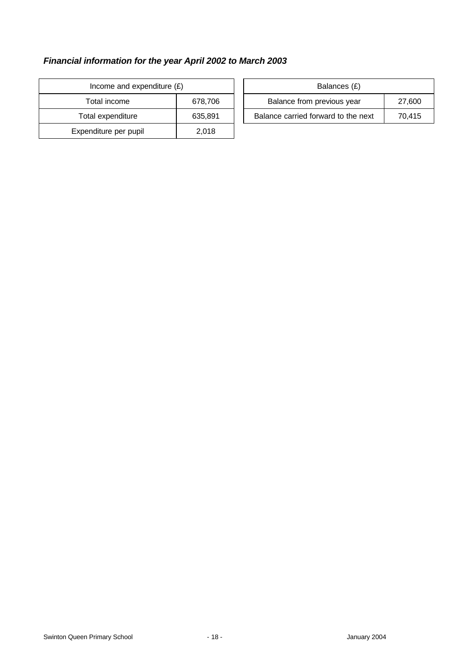# *Financial information for the year April 2002 to March 2003*

| Income and expenditure $(E)$ | Balances (£) |                                |
|------------------------------|--------------|--------------------------------|
| Total income                 | 678,706      | Balance from previous year     |
| Total expenditure            | 635,891      | Balance carried forward to the |
| Expenditure per pupil        | 2,018        |                                |

| Income and expenditure $(E)$ |         | Balances (£)                        |        |
|------------------------------|---------|-------------------------------------|--------|
| Total income                 | 678,706 | Balance from previous year          | 27,600 |
| Total expenditure            | 635.891 | Balance carried forward to the next | 70.415 |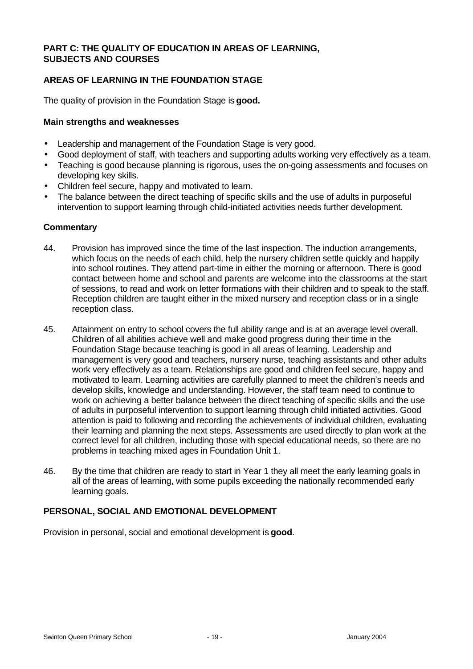# **PART C: THE QUALITY OF EDUCATION IN AREAS OF LEARNING, SUBJECTS AND COURSES**

# **AREAS OF LEARNING IN THE FOUNDATION STAGE**

The quality of provision in the Foundation Stage is **good.**

# **Main strengths and weaknesses**

- Leadership and management of the Foundation Stage is very good.
- Good deployment of staff, with teachers and supporting adults working very effectively as a team.
- Teaching is good because planning is rigorous, uses the on-going assessments and focuses on developing key skills.
- Children feel secure, happy and motivated to learn.
- The balance between the direct teaching of specific skills and the use of adults in purposeful intervention to support learning through child-initiated activities needs further development.

# **Commentary**

- 44. Provision has improved since the time of the last inspection. The induction arrangements, which focus on the needs of each child, help the nursery children settle quickly and happily into school routines. They attend part-time in either the morning or afternoon. There is good contact between home and school and parents are welcome into the classrooms at the start of sessions, to read and work on letter formations with their children and to speak to the staff. Reception children are taught either in the mixed nursery and reception class or in a single reception class.
- 45. Attainment on entry to school covers the full ability range and is at an average level overall. Children of all abilities achieve well and make good progress during their time in the Foundation Stage because teaching is good in all areas of learning. Leadership and management is very good and teachers, nursery nurse, teaching assistants and other adults work very effectively as a team. Relationships are good and children feel secure, happy and motivated to learn. Learning activities are carefully planned to meet the children's needs and develop skills, knowledge and understanding. However, the staff team need to continue to work on achieving a better balance between the direct teaching of specific skills and the use of adults in purposeful intervention to support learning through child initiated activities. Good attention is paid to following and recording the achievements of individual children, evaluating their learning and planning the next steps. Assessments are used directly to plan work at the correct level for all children, including those with special educational needs, so there are no problems in teaching mixed ages in Foundation Unit 1.
- 46. By the time that children are ready to start in Year 1 they all meet the early learning goals in all of the areas of learning, with some pupils exceeding the nationally recommended early learning goals.

# **PERSONAL, SOCIAL AND EMOTIONAL DEVELOPMENT**

Provision in personal, social and emotional development is **good**.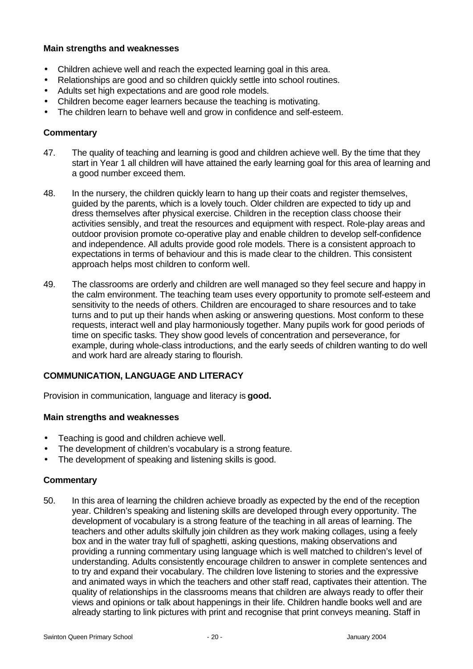# **Main strengths and weaknesses**

- Children achieve well and reach the expected learning goal in this area.
- Relationships are good and so children quickly settle into school routines.
- Adults set high expectations and are good role models.
- Children become eager learners because the teaching is motivating.
- The children learn to behave well and grow in confidence and self-esteem.

# **Commentary**

- 47. The quality of teaching and learning is good and children achieve well. By the time that they start in Year 1 all children will have attained the early learning goal for this area of learning and a good number exceed them.
- 48. In the nursery, the children quickly learn to hang up their coats and register themselves, guided by the parents, which is a lovely touch. Older children are expected to tidy up and dress themselves after physical exercise. Children in the reception class choose their activities sensibly, and treat the resources and equipment with respect. Role-play areas and outdoor provision promote co-operative play and enable children to develop self-confidence and independence. All adults provide good role models. There is a consistent approach to expectations in terms of behaviour and this is made clear to the children. This consistent approach helps most children to conform well.
- 49. The classrooms are orderly and children are well managed so they feel secure and happy in the calm environment. The teaching team uses every opportunity to promote self-esteem and sensitivity to the needs of others. Children are encouraged to share resources and to take turns and to put up their hands when asking or answering questions. Most conform to these requests, interact well and play harmoniously together. Many pupils work for good periods of time on specific tasks. They show good levels of concentration and perseverance, for example, during whole-class introductions, and the early seeds of children wanting to do well and work hard are already staring to flourish.

# **COMMUNICATION, LANGUAGE AND LITERACY**

Provision in communication, language and literacy is **good.**

# **Main strengths and weaknesses**

- Teaching is good and children achieve well.
- The development of children's vocabulary is a strong feature.
- The development of speaking and listening skills is good.

# **Commentary**

50. In this area of learning the children achieve broadly as expected by the end of the reception year. Children's speaking and listening skills are developed through every opportunity. The development of vocabulary is a strong feature of the teaching in all areas of learning. The teachers and other adults skilfully join children as they work making collages, using a feely box and in the water tray full of spaghetti, asking questions, making observations and providing a running commentary using language which is well matched to children's level of understanding. Adults consistently encourage children to answer in complete sentences and to try and expand their vocabulary. The children love listening to stories and the expressive and animated ways in which the teachers and other staff read, captivates their attention. The quality of relationships in the classrooms means that children are always ready to offer their views and opinions or talk about happenings in their life. Children handle books well and are already starting to link pictures with print and recognise that print conveys meaning. Staff in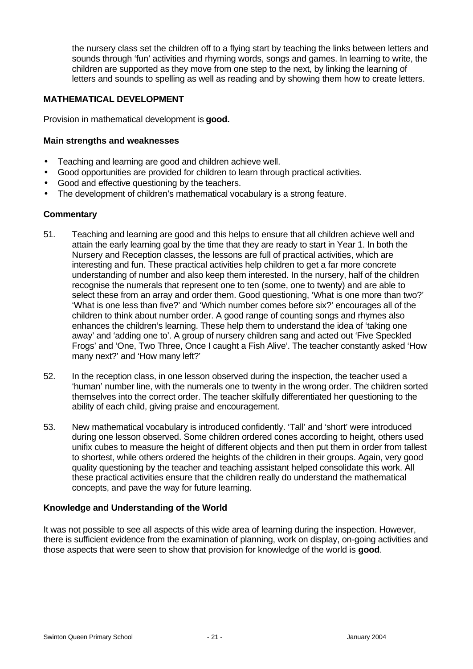the nursery class set the children off to a flying start by teaching the links between letters and sounds through 'fun' activities and rhyming words, songs and games. In learning to write, the children are supported as they move from one step to the next, by linking the learning of letters and sounds to spelling as well as reading and by showing them how to create letters.

# **MATHEMATICAL DEVELOPMENT**

Provision in mathematical development is **good.**

#### **Main strengths and weaknesses**

- Teaching and learning are good and children achieve well.
- Good opportunities are provided for children to learn through practical activities.
- Good and effective questioning by the teachers.
- The development of children's mathematical vocabulary is a strong feature.

#### **Commentary**

- 51. Teaching and learning are good and this helps to ensure that all children achieve well and attain the early learning goal by the time that they are ready to start in Year 1. In both the Nursery and Reception classes, the lessons are full of practical activities, which are interesting and fun. These practical activities help children to get a far more concrete understanding of number and also keep them interested. In the nursery, half of the children recognise the numerals that represent one to ten (some, one to twenty) and are able to select these from an array and order them. Good questioning, 'What is one more than two?' 'What is one less than five?' and 'Which number comes before six?' encourages all of the children to think about number order. A good range of counting songs and rhymes also enhances the children's learning. These help them to understand the idea of 'taking one away' and 'adding one to'. A group of nursery children sang and acted out 'Five Speckled Frogs' and 'One, Two Three, Once I caught a Fish Alive'. The teacher constantly asked 'How many next?' and 'How many left?'
- 52. In the reception class, in one lesson observed during the inspection, the teacher used a 'human' number line, with the numerals one to twenty in the wrong order. The children sorted themselves into the correct order. The teacher skilfully differentiated her questioning to the ability of each child, giving praise and encouragement.
- 53. New mathematical vocabulary is introduced confidently. 'Tall' and 'short' were introduced during one lesson observed. Some children ordered cones according to height, others used unifix cubes to measure the height of different objects and then put them in order from tallest to shortest, while others ordered the heights of the children in their groups. Again, very good quality questioning by the teacher and teaching assistant helped consolidate this work. All these practical activities ensure that the children really do understand the mathematical concepts, and pave the way for future learning.

# **Knowledge and Understanding of the World**

It was not possible to see all aspects of this wide area of learning during the inspection. However, there is sufficient evidence from the examination of planning, work on display, on-going activities and those aspects that were seen to show that provision for knowledge of the world is **good**.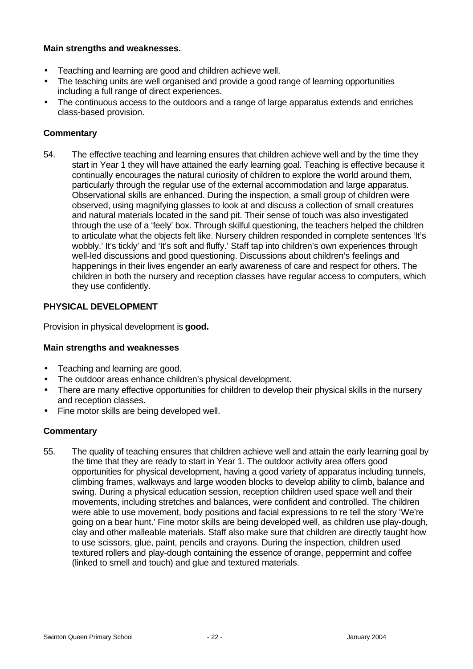# **Main strengths and weaknesses.**

- Teaching and learning are good and children achieve well.
- The teaching units are well organised and provide a good range of learning opportunities including a full range of direct experiences.
- The continuous access to the outdoors and a range of large apparatus extends and enriches class-based provision.

# **Commentary**

54. The effective teaching and learning ensures that children achieve well and by the time they start in Year 1 they will have attained the early learning goal. Teaching is effective because it continually encourages the natural curiosity of children to explore the world around them, particularly through the regular use of the external accommodation and large apparatus. Observational skills are enhanced. During the inspection, a small group of children were observed, using magnifying glasses to look at and discuss a collection of small creatures and natural materials located in the sand pit. Their sense of touch was also investigated through the use of a 'feely' box. Through skilful questioning, the teachers helped the children to articulate what the objects felt like. Nursery children responded in complete sentences 'It's wobbly.' It's tickly' and 'It's soft and fluffy.' Staff tap into children's own experiences through well-led discussions and good questioning. Discussions about children's feelings and happenings in their lives engender an early awareness of care and respect for others. The children in both the nursery and reception classes have regular access to computers, which they use confidently.

# **PHYSICAL DEVELOPMENT**

Provision in physical development is **good.**

# **Main strengths and weaknesses**

- Teaching and learning are good.
- The outdoor areas enhance children's physical development.
- There are many effective opportunities for children to develop their physical skills in the nursery and reception classes.
- Fine motor skills are being developed well.

# **Commentary**

55. The quality of teaching ensures that children achieve well and attain the early learning goal by the time that they are ready to start in Year 1. The outdoor activity area offers good opportunities for physical development, having a good variety of apparatus including tunnels, climbing frames, walkways and large wooden blocks to develop ability to climb, balance and swing. During a physical education session, reception children used space well and their movements, including stretches and balances, were confident and controlled. The children were able to use movement, body positions and facial expressions to re tell the story 'We're going on a bear hunt.' Fine motor skills are being developed well, as children use play-dough, clay and other malleable materials. Staff also make sure that children are directly taught how to use scissors, glue, paint, pencils and crayons. During the inspection, children used textured rollers and play-dough containing the essence of orange, peppermint and coffee (linked to smell and touch) and glue and textured materials.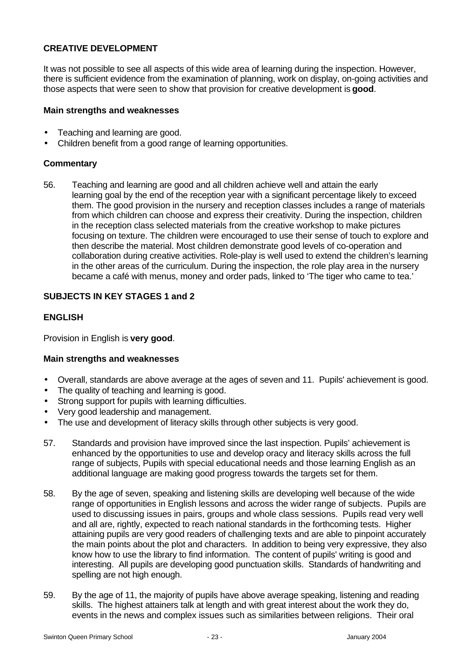# **CREATIVE DEVELOPMENT**

It was not possible to see all aspects of this wide area of learning during the inspection. However, there is sufficient evidence from the examination of planning, work on display, on-going activities and those aspects that were seen to show that provision for creative development is **good**.

#### **Main strengths and weaknesses**

- Teaching and learning are good.
- Children benefit from a good range of learning opportunities.

#### **Commentary**

56. Teaching and learning are good and all children achieve well and attain the early learning goal by the end of the reception year with a significant percentage likely to exceed them. The good provision in the nursery and reception classes includes a range of materials from which children can choose and express their creativity. During the inspection, children in the reception class selected materials from the creative workshop to make pictures focusing on texture. The children were encouraged to use their sense of touch to explore and then describe the material. Most children demonstrate good levels of co-operation and collaboration during creative activities. Role-play is well used to extend the children's learning in the other areas of the curriculum. During the inspection, the role play area in the nursery became a café with menus, money and order pads, linked to 'The tiger who came to tea.'

# **SUBJECTS IN KEY STAGES 1 and 2**

# **ENGLISH**

Provision in English is **very good**.

# **Main strengths and weaknesses**

- Overall, standards are above average at the ages of seven and 11. Pupils' achievement is good.
- The quality of teaching and learning is good.
- Strong support for pupils with learning difficulties.
- Very good leadership and management.
- The use and development of literacy skills through other subjects is very good.
- 57. Standards and provision have improved since the last inspection. Pupils' achievement is enhanced by the opportunities to use and develop oracy and literacy skills across the full range of subjects, Pupils with special educational needs and those learning English as an additional language are making good progress towards the targets set for them.
- 58. By the age of seven, speaking and listening skills are developing well because of the wide range of opportunities in English lessons and across the wider range of subjects. Pupils are used to discussing issues in pairs, groups and whole class sessions. Pupils read very well and all are, rightly, expected to reach national standards in the forthcoming tests. Higher attaining pupils are very good readers of challenging texts and are able to pinpoint accurately the main points about the plot and characters. In addition to being very expressive, they also know how to use the library to find information. The content of pupils' writing is good and interesting. All pupils are developing good punctuation skills. Standards of handwriting and spelling are not high enough.
- 59. By the age of 11, the majority of pupils have above average speaking, listening and reading skills. The highest attainers talk at length and with great interest about the work they do, events in the news and complex issues such as similarities between religions. Their oral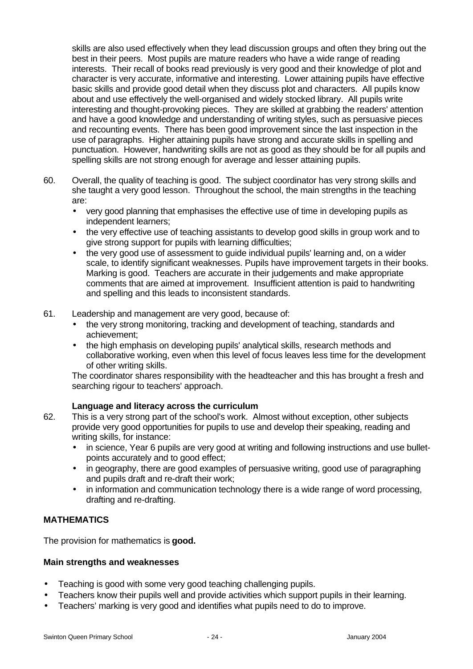skills are also used effectively when they lead discussion groups and often they bring out the best in their peers. Most pupils are mature readers who have a wide range of reading interests. Their recall of books read previously is very good and their knowledge of plot and character is very accurate, informative and interesting. Lower attaining pupils have effective basic skills and provide good detail when they discuss plot and characters. All pupils know about and use effectively the well-organised and widely stocked library. All pupils write interesting and thought-provoking pieces. They are skilled at grabbing the readers' attention and have a good knowledge and understanding of writing styles, such as persuasive pieces and recounting events. There has been good improvement since the last inspection in the use of paragraphs. Higher attaining pupils have strong and accurate skills in spelling and punctuation. However, handwriting skills are not as good as they should be for all pupils and spelling skills are not strong enough for average and lesser attaining pupils.

- 60. Overall, the quality of teaching is good. The subject coordinator has very strong skills and she taught a very good lesson. Throughout the school, the main strengths in the teaching are:
	- very good planning that emphasises the effective use of time in developing pupils as independent learners;
	- the very effective use of teaching assistants to develop good skills in group work and to give strong support for pupils with learning difficulties;
	- the very good use of assessment to quide individual pupils' learning and, on a wider scale, to identify significant weaknesses. Pupils have improvement targets in their books. Marking is good. Teachers are accurate in their judgements and make appropriate comments that are aimed at improvement. Insufficient attention is paid to handwriting and spelling and this leads to inconsistent standards.
- 61. Leadership and management are very good, because of:
	- the very strong monitoring, tracking and development of teaching, standards and achievement;
	- the high emphasis on developing pupils' analytical skills, research methods and collaborative working, even when this level of focus leaves less time for the development of other writing skills.

The coordinator shares responsibility with the headteacher and this has brought a fresh and searching rigour to teachers' approach.

# **Language and literacy across the curriculum**

- 62. This is a very strong part of the school's work. Almost without exception, other subjects provide very good opportunities for pupils to use and develop their speaking, reading and writing skills, for instance:
	- in science, Year 6 pupils are very good at writing and following instructions and use bulletpoints accurately and to good effect;
	- in geography, there are good examples of persuasive writing, good use of paragraphing and pupils draft and re-draft their work;
	- in information and communication technology there is a wide range of word processing, drafting and re-drafting.

# **MATHEMATICS**

The provision for mathematics is **good.**

# **Main strengths and weaknesses**

- Teaching is good with some very good teaching challenging pupils.
- Teachers know their pupils well and provide activities which support pupils in their learning.
- Teachers' marking is very good and identifies what pupils need to do to improve.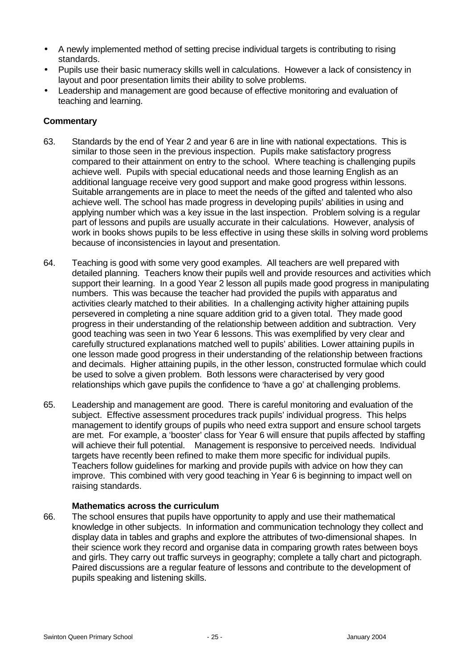- A newly implemented method of setting precise individual targets is contributing to rising standards.
- Pupils use their basic numeracy skills well in calculations. However a lack of consistency in layout and poor presentation limits their ability to solve problems.
- Leadership and management are good because of effective monitoring and evaluation of teaching and learning.

# **Commentary**

- 63. Standards by the end of Year 2 and year 6 are in line with national expectations. This is similar to those seen in the previous inspection. Pupils make satisfactory progress compared to their attainment on entry to the school. Where teaching is challenging pupils achieve well. Pupils with special educational needs and those learning English as an additional language receive very good support and make good progress within lessons. Suitable arrangements are in place to meet the needs of the gifted and talented who also achieve well. The school has made progress in developing pupils' abilities in using and applying number which was a key issue in the last inspection. Problem solving is a regular part of lessons and pupils are usually accurate in their calculations. However, analysis of work in books shows pupils to be less effective in using these skills in solving word problems because of inconsistencies in layout and presentation.
- 64. Teaching is good with some very good examples. All teachers are well prepared with detailed planning. Teachers know their pupils well and provide resources and activities which support their learning. In a good Year 2 lesson all pupils made good progress in manipulating numbers. This was because the teacher had provided the pupils with apparatus and activities clearly matched to their abilities. In a challenging activity higher attaining pupils persevered in completing a nine square addition grid to a given total. They made good progress in their understanding of the relationship between addition and subtraction. Very good teaching was seen in two Year 6 lessons. This was exemplified by very clear and carefully structured explanations matched well to pupils' abilities. Lower attaining pupils in one lesson made good progress in their understanding of the relationship between fractions and decimals. Higher attaining pupils, in the other lesson, constructed formulae which could be used to solve a given problem. Both lessons were characterised by very good relationships which gave pupils the confidence to 'have a go' at challenging problems.
- 65. Leadership and management are good. There is careful monitoring and evaluation of the subject. Effective assessment procedures track pupils' individual progress. This helps management to identify groups of pupils who need extra support and ensure school targets are met. For example, a 'booster' class for Year 6 will ensure that pupils affected by staffing will achieve their full potential. Management is responsive to perceived needs. Individual targets have recently been refined to make them more specific for individual pupils. Teachers follow guidelines for marking and provide pupils with advice on how they can improve. This combined with very good teaching in Year 6 is beginning to impact well on raising standards.

# **Mathematics across the curriculum**

66. The school ensures that pupils have opportunity to apply and use their mathematical knowledge in other subjects. In information and communication technology they collect and display data in tables and graphs and explore the attributes of two-dimensional shapes. In their science work they record and organise data in comparing growth rates between boys and girls. They carry out traffic surveys in geography; complete a tally chart and pictograph. Paired discussions are a regular feature of lessons and contribute to the development of pupils speaking and listening skills.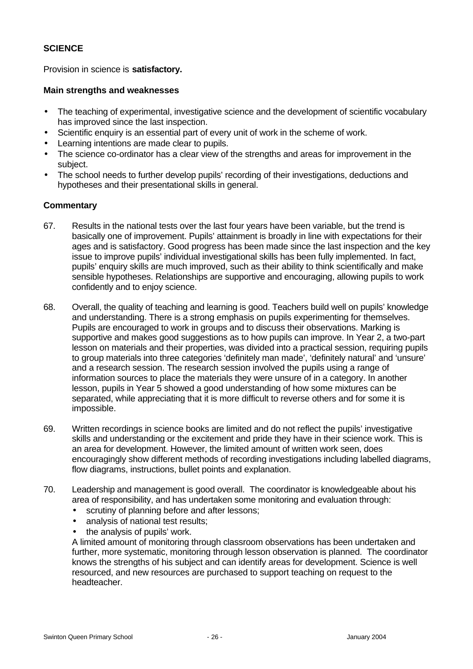# **SCIENCE**

Provision in science is **satisfactory.**

#### **Main strengths and weaknesses**

- The teaching of experimental, investigative science and the development of scientific vocabulary has improved since the last inspection.
- Scientific enquiry is an essential part of every unit of work in the scheme of work.
- Learning intentions are made clear to pupils.
- The science co-ordinator has a clear view of the strengths and areas for improvement in the subject.
- The school needs to further develop pupils' recording of their investigations, deductions and hypotheses and their presentational skills in general.

# **Commentary**

- 67. Results in the national tests over the last four years have been variable, but the trend is basically one of improvement. Pupils' attainment is broadly in line with expectations for their ages and is satisfactory. Good progress has been made since the last inspection and the key issue to improve pupils' individual investigational skills has been fully implemented. In fact, pupils' enquiry skills are much improved, such as their ability to think scientifically and make sensible hypotheses. Relationships are supportive and encouraging, allowing pupils to work confidently and to enjoy science.
- 68. Overall, the quality of teaching and learning is good. Teachers build well on pupils' knowledge and understanding. There is a strong emphasis on pupils experimenting for themselves. Pupils are encouraged to work in groups and to discuss their observations. Marking is supportive and makes good suggestions as to how pupils can improve. In Year 2, a two-part lesson on materials and their properties, was divided into a practical session, requiring pupils to group materials into three categories 'definitely man made', 'definitely natural' and 'unsure' and a research session. The research session involved the pupils using a range of information sources to place the materials they were unsure of in a category. In another lesson, pupils in Year 5 showed a good understanding of how some mixtures can be separated, while appreciating that it is more difficult to reverse others and for some it is impossible.
- 69. Written recordings in science books are limited and do not reflect the pupils' investigative skills and understanding or the excitement and pride they have in their science work. This is an area for development. However, the limited amount of written work seen, does encouragingly show different methods of recording investigations including labelled diagrams, flow diagrams, instructions, bullet points and explanation.
- 70. Leadership and management is good overall. The coordinator is knowledgeable about his area of responsibility, and has undertaken some monitoring and evaluation through:
	- scrutiny of planning before and after lessons;
	- analysis of national test results;
	- the analysis of pupils' work.

A limited amount of monitoring through classroom observations has been undertaken and further, more systematic, monitoring through lesson observation is planned. The coordinator knows the strengths of his subject and can identify areas for development. Science is well resourced, and new resources are purchased to support teaching on request to the headteacher.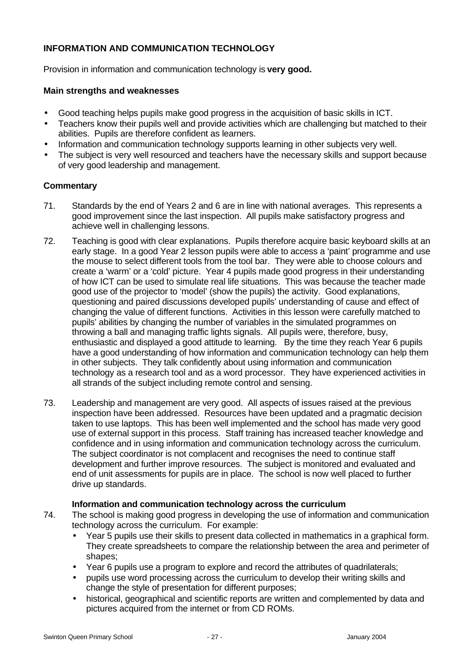# **INFORMATION AND COMMUNICATION TECHNOLOGY**

Provision in information and communication technology is **very good.**

# **Main strengths and weaknesses**

- Good teaching helps pupils make good progress in the acquisition of basic skills in ICT.
- Teachers know their pupils well and provide activities which are challenging but matched to their abilities. Pupils are therefore confident as learners.
- Information and communication technology supports learning in other subjects very well.
- The subject is very well resourced and teachers have the necessary skills and support because of very good leadership and management.

# **Commentary**

- 71. Standards by the end of Years 2 and 6 are in line with national averages. This represents a good improvement since the last inspection. All pupils make satisfactory progress and achieve well in challenging lessons.
- 72. Teaching is good with clear explanations. Pupils therefore acquire basic keyboard skills at an early stage. In a good Year 2 lesson pupils were able to access a 'paint' programme and use the mouse to select different tools from the tool bar. They were able to choose colours and create a 'warm' or a 'cold' picture. Year 4 pupils made good progress in their understanding of how ICT can be used to simulate real life situations. This was because the teacher made good use of the projector to 'model' (show the pupils) the activity. Good explanations, questioning and paired discussions developed pupils' understanding of cause and effect of changing the value of different functions. Activities in this lesson were carefully matched to pupils' abilities by changing the number of variables in the simulated programmes on throwing a ball and managing traffic lights signals. All pupils were, therefore, busy, enthusiastic and displayed a good attitude to learning. By the time they reach Year 6 pupils have a good understanding of how information and communication technology can help them in other subjects. They talk confidently about using information and communication technology as a research tool and as a word processor. They have experienced activities in all strands of the subject including remote control and sensing.
- 73. Leadership and management are very good. All aspects of issues raised at the previous inspection have been addressed. Resources have been updated and a pragmatic decision taken to use laptops. This has been well implemented and the school has made very good use of external support in this process. Staff training has increased teacher knowledge and confidence and in using information and communication technology across the curriculum. The subject coordinator is not complacent and recognises the need to continue staff development and further improve resources. The subject is monitored and evaluated and end of unit assessments for pupils are in place. The school is now well placed to further drive up standards.

# **Information and communication technology across the curriculum**

- 74. The school is making good progress in developing the use of information and communication technology across the curriculum. For example:
	- Year 5 pupils use their skills to present data collected in mathematics in a graphical form. They create spreadsheets to compare the relationship between the area and perimeter of shapes;
	- Year 6 pupils use a program to explore and record the attributes of quadrilaterals;
	- pupils use word processing across the curriculum to develop their writing skills and change the style of presentation for different purposes;
	- historical, geographical and scientific reports are written and complemented by data and pictures acquired from the internet or from CD ROMs.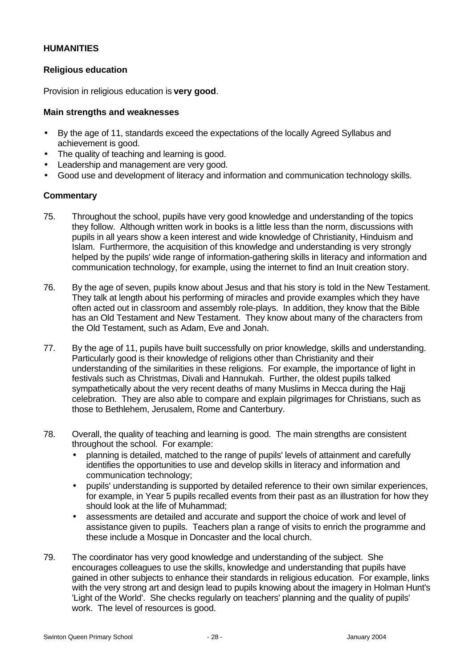# **HUMANITIES**

# **Religious education**

Provision in religious education is **very good**.

#### **Main strengths and weaknesses**

- By the age of 11, standards exceed the expectations of the locally Agreed Syllabus and achievement is good.
- The quality of teaching and learning is good.
- Leadership and management are very good.
- Good use and development of literacy and information and communication technology skills.

- 75. Throughout the school, pupils have very good knowledge and understanding of the topics they follow. Although written work in books is a little less than the norm, discussions with pupils in all years show a keen interest and wide knowledge of Christianity, Hinduism and Islam. Furthermore, the acquisition of this knowledge and understanding is very strongly helped by the pupils' wide range of information-gathering skills in literacy and information and communication technology, for example, using the internet to find an Inuit creation story.
- 76. By the age of seven, pupils know about Jesus and that his story is told in the New Testament. They talk at length about his performing of miracles and provide examples which they have often acted out in classroom and assembly role-plays. In addition, they know that the Bible has an Old Testament and New Testament. They know about many of the characters from the Old Testament, such as Adam, Eve and Jonah.
- 77. By the age of 11, pupils have built successfully on prior knowledge, skills and understanding. Particularly good is their knowledge of religions other than Christianity and their understanding of the similarities in these religions. For example, the importance of light in festivals such as Christmas, Divali and Hannukah. Further, the oldest pupils talked sympathetically about the very recent deaths of many Muslims in Mecca during the Hajj celebration. They are also able to compare and explain pilgrimages for Christians, such as those to Bethlehem, Jerusalem, Rome and Canterbury.
- 78. Overall, the quality of teaching and learning is good. The main strengths are consistent throughout the school. For example:
	- planning is detailed, matched to the range of pupils' levels of attainment and carefully identifies the opportunities to use and develop skills in literacy and information and communication technology;
	- pupils' understanding is supported by detailed reference to their own similar experiences, for example, in Year 5 pupils recalled events from their past as an illustration for how they should look at the life of Muhammad;
	- assessments are detailed and accurate and support the choice of work and level of assistance given to pupils. Teachers plan a range of visits to enrich the programme and these include a Mosque in Doncaster and the local church.
- 79. The coordinator has very good knowledge and understanding of the subject. She encourages colleagues to use the skills, knowledge and understanding that pupils have gained in other subjects to enhance their standards in religious education. For example, links with the very strong art and design lead to pupils knowing about the imagery in Holman Hunt's 'Light of the World'. She checks regularly on teachers' planning and the quality of pupils' work. The level of resources is good.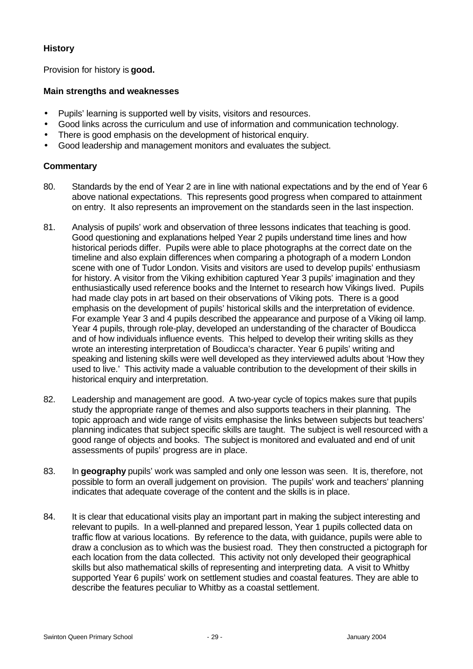# **History**

Provision for history is **good.**

# **Main strengths and weaknesses**

- Pupils' learning is supported well by visits, visitors and resources.
- Good links across the curriculum and use of information and communication technology.
- There is good emphasis on the development of historical enquiry.
- Good leadership and management monitors and evaluates the subject.

- 80. Standards by the end of Year 2 are in line with national expectations and by the end of Year 6 above national expectations. This represents good progress when compared to attainment on entry. It also represents an improvement on the standards seen in the last inspection.
- 81. Analysis of pupils' work and observation of three lessons indicates that teaching is good. Good questioning and explanations helped Year 2 pupils understand time lines and how historical periods differ. Pupils were able to place photographs at the correct date on the timeline and also explain differences when comparing a photograph of a modern London scene with one of Tudor London. Visits and visitors are used to develop pupils' enthusiasm for history. A visitor from the Viking exhibition captured Year 3 pupils' imagination and they enthusiastically used reference books and the Internet to research how Vikings lived. Pupils had made clay pots in art based on their observations of Viking pots. There is a good emphasis on the development of pupils' historical skills and the interpretation of evidence. For example Year 3 and 4 pupils described the appearance and purpose of a Viking oil lamp. Year 4 pupils, through role-play, developed an understanding of the character of Boudicca and of how individuals influence events. This helped to develop their writing skills as they wrote an interesting interpretation of Boudicca's character. Year 6 pupils' writing and speaking and listening skills were well developed as they interviewed adults about 'How they used to live.' This activity made a valuable contribution to the development of their skills in historical enquiry and interpretation.
- 82. Leadership and management are good. A two-year cycle of topics makes sure that pupils study the appropriate range of themes and also supports teachers in their planning. The topic approach and wide range of visits emphasise the links between subjects but teachers' planning indicates that subject specific skills are taught. The subject is well resourced with a good range of objects and books. The subject is monitored and evaluated and end of unit assessments of pupils' progress are in place.
- 83. In **geography** pupils' work was sampled and only one lesson was seen. It is, therefore, not possible to form an overall judgement on provision. The pupils' work and teachers' planning indicates that adequate coverage of the content and the skills is in place.
- 84. It is clear that educational visits play an important part in making the subject interesting and relevant to pupils. In a well-planned and prepared lesson, Year 1 pupils collected data on traffic flow at various locations. By reference to the data, with guidance, pupils were able to draw a conclusion as to which was the busiest road. They then constructed a pictograph for each location from the data collected. This activity not only developed their geographical skills but also mathematical skills of representing and interpreting data. A visit to Whitby supported Year 6 pupils' work on settlement studies and coastal features. They are able to describe the features peculiar to Whitby as a coastal settlement.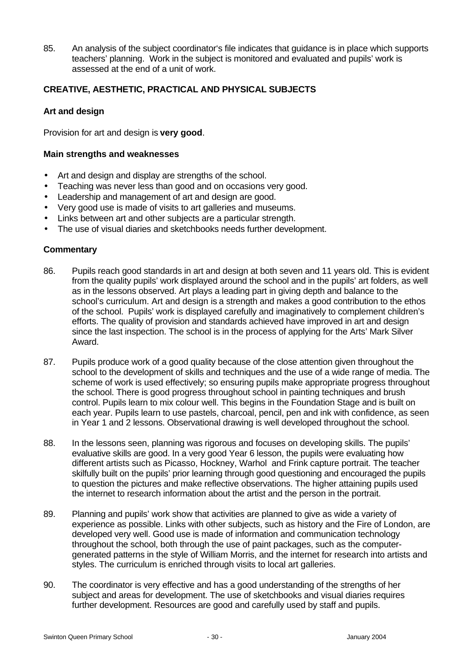85. An analysis of the subject coordinator's file indicates that guidance is in place which supports teachers' planning. Work in the subject is monitored and evaluated and pupils' work is assessed at the end of a unit of work.

# **CREATIVE, AESTHETIC, PRACTICAL AND PHYSICAL SUBJECTS**

# **Art and design**

Provision for art and design is **very good**.

# **Main strengths and weaknesses**

- Art and design and display are strengths of the school.
- Teaching was never less than good and on occasions very good.
- Leadership and management of art and design are good.
- Very good use is made of visits to art galleries and museums.
- Links between art and other subjects are a particular strength.
- The use of visual diaries and sketchbooks needs further development.

- 86. Pupils reach good standards in art and design at both seven and 11 years old. This is evident from the quality pupils' work displayed around the school and in the pupils' art folders, as well as in the lessons observed. Art plays a leading part in giving depth and balance to the school's curriculum. Art and design is a strength and makes a good contribution to the ethos of the school. Pupils' work is displayed carefully and imaginatively to complement children's efforts. The quality of provision and standards achieved have improved in art and design since the last inspection. The school is in the process of applying for the Arts' Mark Silver Award.
- 87. Pupils produce work of a good quality because of the close attention given throughout the school to the development of skills and techniques and the use of a wide range of media. The scheme of work is used effectively; so ensuring pupils make appropriate progress throughout the school. There is good progress throughout school in painting techniques and brush control. Pupils learn to mix colour well. This begins in the Foundation Stage and is built on each year. Pupils learn to use pastels, charcoal, pencil, pen and ink with confidence, as seen in Year 1 and 2 lessons. Observational drawing is well developed throughout the school.
- 88. In the lessons seen, planning was rigorous and focuses on developing skills. The pupils' evaluative skills are good. In a very good Year 6 lesson, the pupils were evaluating how different artists such as Picasso, Hockney, Warhol and Frink capture portrait. The teacher skilfully built on the pupils' prior learning through good questioning and encouraged the pupils to question the pictures and make reflective observations. The higher attaining pupils used the internet to research information about the artist and the person in the portrait.
- 89. Planning and pupils' work show that activities are planned to give as wide a variety of experience as possible. Links with other subjects, such as history and the Fire of London, are developed very well. Good use is made of information and communication technology throughout the school, both through the use of paint packages, such as the computergenerated patterns in the style of William Morris, and the internet for research into artists and styles. The curriculum is enriched through visits to local art galleries.
- 90. The coordinator is very effective and has a good understanding of the strengths of her subject and areas for development. The use of sketchbooks and visual diaries requires further development. Resources are good and carefully used by staff and pupils.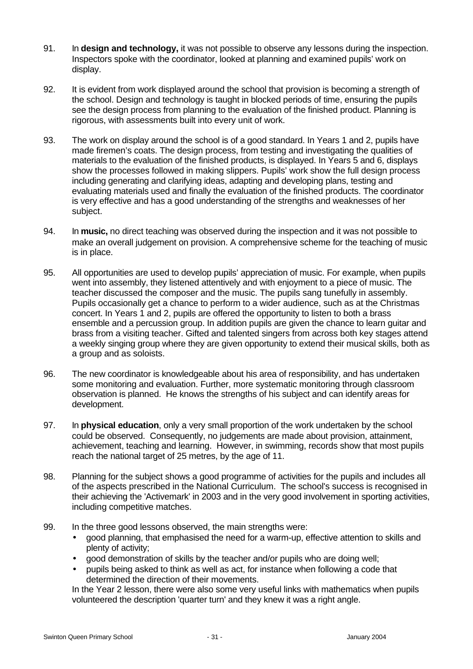- 91. In **design and technology,** it was not possible to observe any lessons during the inspection. Inspectors spoke with the coordinator, looked at planning and examined pupils' work on display.
- 92. It is evident from work displayed around the school that provision is becoming a strength of the school. Design and technology is taught in blocked periods of time, ensuring the pupils see the design process from planning to the evaluation of the finished product. Planning is rigorous, with assessments built into every unit of work.
- 93. The work on display around the school is of a good standard. In Years 1 and 2, pupils have made firemen's coats. The design process, from testing and investigating the qualities of materials to the evaluation of the finished products, is displayed. In Years 5 and 6, displays show the processes followed in making slippers. Pupils' work show the full design process including generating and clarifying ideas, adapting and developing plans, testing and evaluating materials used and finally the evaluation of the finished products. The coordinator is very effective and has a good understanding of the strengths and weaknesses of her subject.
- 94. In **music,** no direct teaching was observed during the inspection and it was not possible to make an overall judgement on provision. A comprehensive scheme for the teaching of music is in place.
- 95. All opportunities are used to develop pupils' appreciation of music. For example, when pupils went into assembly, they listened attentively and with enjoyment to a piece of music. The teacher discussed the composer and the music. The pupils sang tunefully in assembly. Pupils occasionally get a chance to perform to a wider audience, such as at the Christmas concert. In Years 1 and 2, pupils are offered the opportunity to listen to both a brass ensemble and a percussion group. In addition pupils are given the chance to learn guitar and brass from a visiting teacher. Gifted and talented singers from across both key stages attend a weekly singing group where they are given opportunity to extend their musical skills, both as a group and as soloists.
- 96. The new coordinator is knowledgeable about his area of responsibility, and has undertaken some monitoring and evaluation. Further, more systematic monitoring through classroom observation is planned. He knows the strengths of his subject and can identify areas for development.
- 97. In **physical education**, only a very small proportion of the work undertaken by the school could be observed. Consequently, no judgements are made about provision, attainment, achievement, teaching and learning. However, in swimming, records show that most pupils reach the national target of 25 metres, by the age of 11.
- 98. Planning for the subject shows a good programme of activities for the pupils and includes all of the aspects prescribed in the National Curriculum. The school's success is recognised in their achieving the 'Activemark' in 2003 and in the very good involvement in sporting activities, including competitive matches.
- 99. In the three good lessons observed, the main strengths were:
	- good planning, that emphasised the need for a warm-up, effective attention to skills and plenty of activity;
	- good demonstration of skills by the teacher and/or pupils who are doing well;
	- pupils being asked to think as well as act, for instance when following a code that determined the direction of their movements.

In the Year 2 lesson, there were also some very useful links with mathematics when pupils volunteered the description 'quarter turn' and they knew it was a right angle.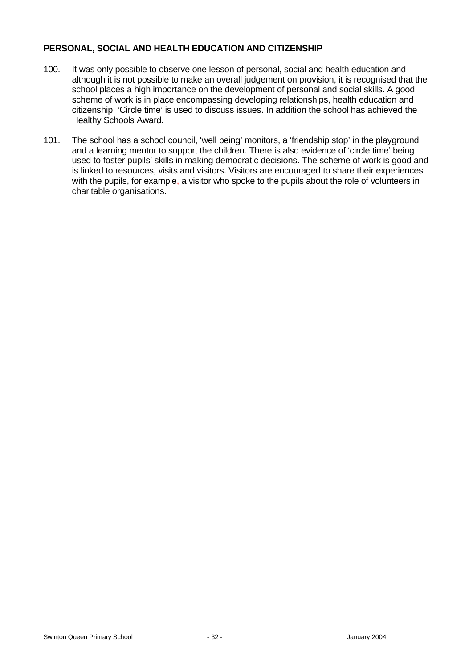# **PERSONAL, SOCIAL AND HEALTH EDUCATION AND CITIZENSHIP**

- 100. It was only possible to observe one lesson of personal, social and health education and although it is not possible to make an overall judgement on provision, it is recognised that the school places a high importance on the development of personal and social skills. A good scheme of work is in place encompassing developing relationships, health education and citizenship. 'Circle time' is used to discuss issues. In addition the school has achieved the Healthy Schools Award.
- 101. The school has a school council, 'well being' monitors, a 'friendship stop' in the playground and a learning mentor to support the children. There is also evidence of 'circle time' being used to foster pupils' skills in making democratic decisions. The scheme of work is good and is linked to resources, visits and visitors. Visitors are encouraged to share their experiences with the pupils, for example, a visitor who spoke to the pupils about the role of volunteers in charitable organisations.